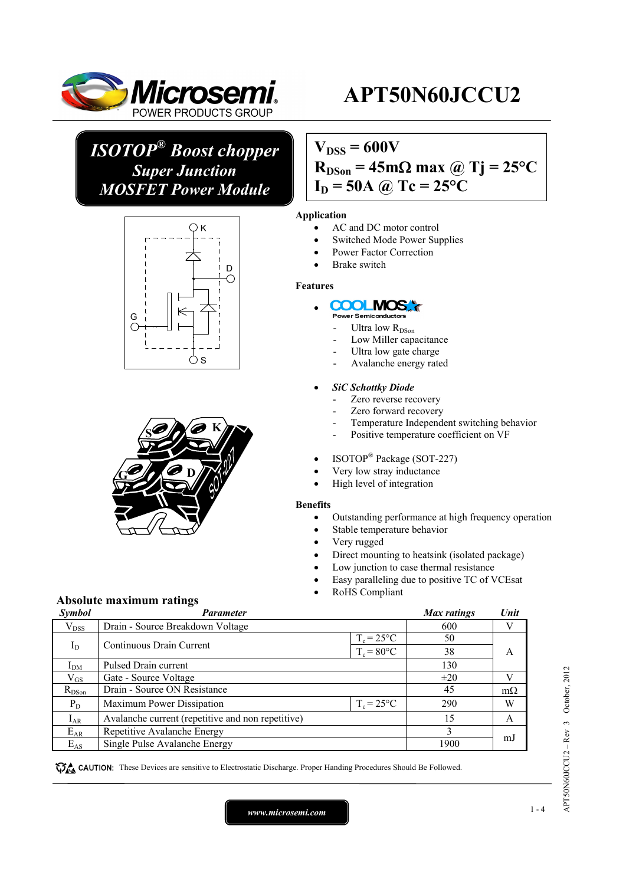

# **APT50N60JCCU2**

# *ISOTOP® Boost chopper Super Junction MOSFET Power Module*





## **Absolute maximum ratings**

## $V_{DSS} = 600V$  $R_{DSon} = 45 \text{m}\Omega \text{ max}$  @ Tj = 25<sup>o</sup>C  $I_D = 50A$  *(a)*  $Tc = 25^{\circ}C$

#### **Application**

- AC and DC motor control
- Switched Mode Power Supplies
- Power Factor Correction
- Brake switch

#### **Features**

#### **COOLIMOS** •

- .<br>Power Semiconductor
- Ultra low R<sub>DSon</sub>
- Low Miller capacitance
- Ultra low gate charge
- Avalanche energy rated

#### • *SiC Schottky Diode*

- Zero reverse recovery
- Zero forward recovery
- Temperature Independent switching behavior
- Positive temperature coefficient on VF
- ISOTOP® Package (SOT-227)
- Very low stray inductance
- High level of integration

#### **Benefits**

- Outstanding performance at high frequency operation
- Stable temperature behavior
- Very rugged
	- Direct mounting to heatsink (isolated package)
- Low junction to case thermal resistance
- Easy paralleling due to positive TC of VCEsat
- RoHS Compliant

| Symbol       | <b>Parameter</b>                                  |               | Max ratings | Unit      |  |
|--------------|---------------------------------------------------|---------------|-------------|-----------|--|
| $V_{DSS}$    | Drain - Source Breakdown Voltage                  |               | 600         |           |  |
|              | $T_c = 25$ °C                                     |               | 50          |           |  |
| $I_D$        | Continuous Drain Current                          | $T_c = 80$ °C | 38          | A         |  |
| $I_{DM}$     | Pulsed Drain current                              |               | 130         |           |  |
| $\rm V_{GS}$ | Gate - Source Voltage                             |               | $\pm 20$    |           |  |
| $R_{DSon}$   | Drain - Source ON Resistance                      |               | 45          | $m\Omega$ |  |
| $P_D$        | Maximum Power Dissipation                         | $T_c = 25$ °C | 290         | W         |  |
| $I_{AR}$     | Avalanche current (repetitive and non repetitive) |               | 15          | A         |  |
| $E_{AR}$     | Repetitive Avalanche Energy                       |               |             | mJ        |  |
| $E_{AS}$     | Single Pulse Avalanche Energy                     |               | 1900        |           |  |

These Devices are sensitive to Electrostatic Discharge. Proper Handing Procedures Should Be Followed.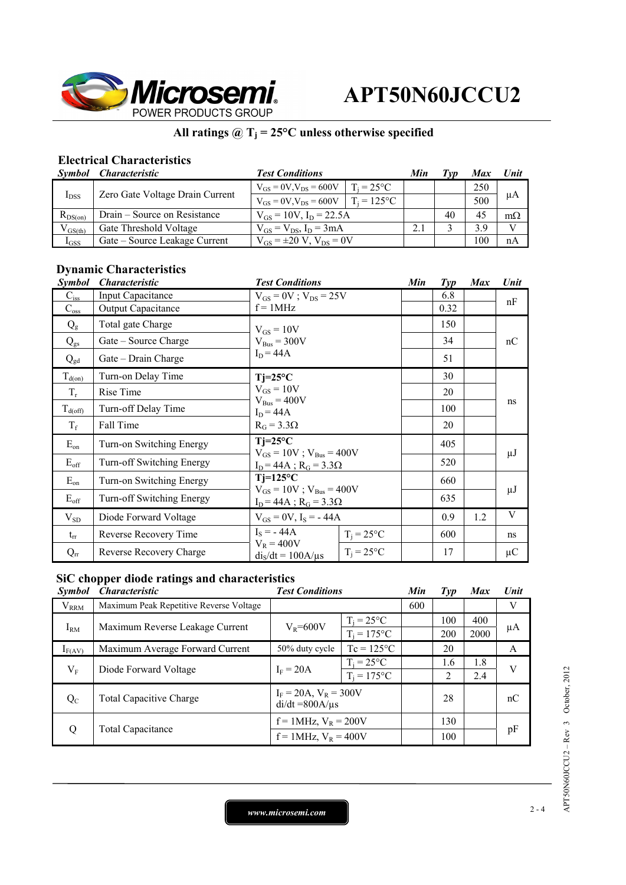

### All ratings  $@T_j = 25°C$  unless otherwise specified

### **Electrical Characteristics**

| Symbol       | <i><b>Characteristic</b></i>    | <b>Test Conditions</b>              |                     | Min | ľvv | <b>Max</b> | Unit         |
|--------------|---------------------------------|-------------------------------------|---------------------|-----|-----|------------|--------------|
| $I_{DSS}$    | Zero Gate Voltage Drain Current | $V_{GS} = 0V$ , $V_{DS} = 600V$     | $T_i = 25^{\circ}C$ |     |     | 250        | μA           |
|              |                                 | $V_{GS} = 0V$ , $V_{DS} = 600V$     | $T_i = 125$ °C      |     |     | 500        |              |
| $R_{DS(on)}$ | Drain – Source on Resistance    | $V_{GS} = 10V$ , $I_D = 22.5A$      |                     |     | 40  | 45         | $m\Omega$    |
| $V_{GS(th)}$ | Gate Threshold Voltage          | $V_{GS} = V_{DS}$ , $I_D = 3mA$     |                     |     |     | 3.9        | $\mathbf{V}$ |
| $I_{GSS}$    | Gate – Source Leakage Current   | $V_{GS} = \pm 20 V$ , $V_{DS} = 0V$ |                     |     |     | 100        | nA           |

### **Dynamic Characteristics**

| <i><b>Symbol</b></i>     | <i><b>Characteristic</b></i> | <b>Test Conditions</b>                                               |                     | Min | $\mathcal{I}yp$ | <b>Max</b> | Unit    |
|--------------------------|------------------------------|----------------------------------------------------------------------|---------------------|-----|-----------------|------------|---------|
| $C_{iss}$                | Input Capacitance            | $V_{GS} = 0V$ ; $V_{DS} = 25V$<br>$f = 1MHz$                         |                     |     | 6.8             |            | nF      |
| $C_{\rm oss}$            | Output Capacitance           |                                                                      |                     |     | 0.32            |            |         |
| $Q_{\rm g}$              | Total gate Charge            | $V_{GS} = 10V$                                                       |                     |     | 150             |            |         |
| $\mathbf{Q}_{\text{gs}}$ | Gate – Source Charge         | $V_{\text{Bus}} = 300V$                                              |                     |     | 34              |            | nC      |
| $Q_{gd}$                 | Gate - Drain Charge          | $I_D = 44A$                                                          |                     |     | 51              |            |         |
| $T_{d(on)}$              | Turn-on Delay Time           | $Tj=25^{\circ}C$                                                     |                     |     | 30              |            |         |
| $T_r$                    | Rise Time                    | $V_{GS} = 10V$                                                       |                     |     | 20              |            |         |
| $T_{d(\text{off})}$      | Turn-off Delay Time          | $V_{\text{Bus}} = 400V$<br>$I_D = 44A$<br>$R_G = 3.3\Omega$          |                     |     | 100             |            | ns      |
| $T_f$                    | Fall Time                    |                                                                      |                     |     | 20              |            |         |
| $E_{on}$                 | Turn-on Switching Energy     | $Ti=25^{\circ}C$<br>$V_{GS} = 10V$ ; $V_{Bus} = 400V$                |                     |     | 405             |            |         |
| $E_{\rm off}$            | Turn-off Switching Energy    | $I_D = 44A$ ; $R_G = 3.3\Omega$                                      |                     |     | 520             |            | μJ      |
| $E_{on}$                 | Turn-on Switching Energy     | $Ti=125^{\circ}C$                                                    |                     |     | 660             |            |         |
| $E_{\rm off}$            | Turn-off Switching Energy    | $V_{GS} = 10V$ ; $V_{Bus} = 400V$<br>$I_D = 44A$ ; $R_G = 3.3\Omega$ |                     |     | 635             |            | $\mu$ J |
| $V_{SD}$                 | Diode Forward Voltage        | $V_{GS} = 0V$ , $I_S = -44A$                                         |                     |     | 0.9             | 1.2        | V       |
| $t_{rr}$                 | Reverse Recovery Time        | $I_s = -44A$                                                         | $T_i = 25$ °C       |     | 600             |            | ns      |
| $Q_{rr}$                 | Reverse Recovery Charge      | $V_R = 400V$<br>$dis/dt = 100A/\mu s$                                | $T_i = 25^{\circ}C$ |     | 17              |            | $\mu$ C |

### **SiC chopper diode ratings and characteristics**

| <i>Symbol</i> | <i><b>Characteristic</b></i>            | <b>Test Conditions</b>                             |                                 | Min | $\mathcal{I}yp$ | <b>Max</b>  | Unit |
|---------------|-----------------------------------------|----------------------------------------------------|---------------------------------|-----|-----------------|-------------|------|
| $V_{RRM}$     | Maximum Peak Repetitive Reverse Voltage |                                                    |                                 | 600 |                 |             | V    |
| $I_{\rm RM}$  | Maximum Reverse Leakage Current         | $V_R = 600V$                                       | $T_i = 25$ °C<br>$T_i = 175$ °C |     | 100<br>200      | 400<br>2000 | μA   |
| $I_{F(AV)}$   | Maximum Average Forward Current         | 50% duty cycle                                     | $Tc = 125$ °C                   |     | 20              |             | A    |
| $V_{F}$       | Diode Forward Voltage                   | $I_F = 20A$                                        | $T_i = 25$ °C<br>$T_i = 175$ °C |     | 1.6<br>2        | 1.8<br>2.4  | V    |
| $Q_{C}$       | <b>Total Capacitive Charge</b>          | $I_F = 20A$ , $V_R = 300V$<br>$di/dt = 800A/\mu s$ |                                 |     | 28              |             | nC   |
| Q             |                                         | $f = 1$ MHz, $V_R = 200V$                          |                                 |     | 130             |             |      |
|               | Total Capacitance                       | $f = 1$ MHz, $V_R = 400V$                          |                                 |     | 100             |             | pF   |

 $APT50N60ICCU2 - Rev 3 October, 2012$ APT50N60JCCU2 – Rev 3 October, 2012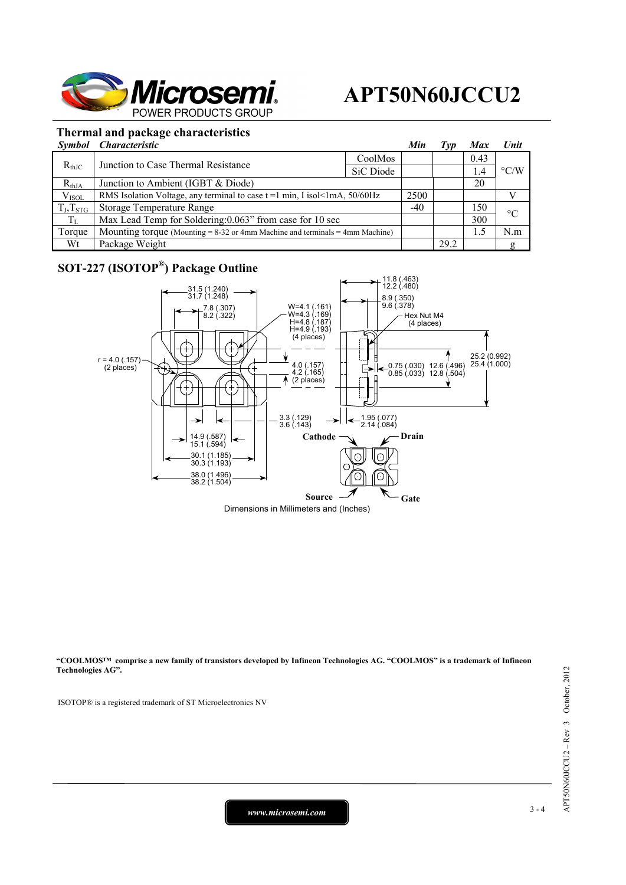

### **Thermal and package characteristics**

|                | Symbol Characteristic                                                             |           | Min   | T vp | <b>Max</b> | <b>Unit</b>        |
|----------------|-----------------------------------------------------------------------------------|-----------|-------|------|------------|--------------------|
| $R_{thJC}$     | Junction to Case Thermal Resistance                                               | CoolMos   |       |      | 0.43       | $\rm ^{\circ}$ C/W |
|                |                                                                                   | SiC Diode |       |      | 1.4        |                    |
| $R_{thJA}$     | Junction to Ambient (IGBT & Diode)                                                |           |       |      | 20         |                    |
| $V_{ISOL}$     | RMS Isolation Voltage, any terminal to case $t = 1$ min, I isol<1mA, 50/60Hz      |           | 2500  |      |            |                    |
| $T_J, T_{STG}$ | Storage Temperature Range                                                         |           | $-40$ |      | 150        | $\rm ^{\circ}C$    |
| $T_{\rm L}$    | Max Lead Temp for Soldering: 0.063" from case for 10 sec                          |           |       |      | 300        |                    |
| Torque         | Mounting torque (Mounting $= 8-32$ or 4mm Machine and terminals $= 4$ mm Machine) |           |       |      | 1.5        | N.m                |
| Wt             | Package Weight                                                                    |           |       | 29.2 |            | g                  |

### **SOT-227 (ISOTOP®) Package Outline**



**"COOLMOS™ comprise a new family of transistors developed by Infineon Technologies AG. "COOLMOS" is a trademark of Infineon Technologies AG".** 

ISOTOP® is a registered trademark of ST Microelectronics NV